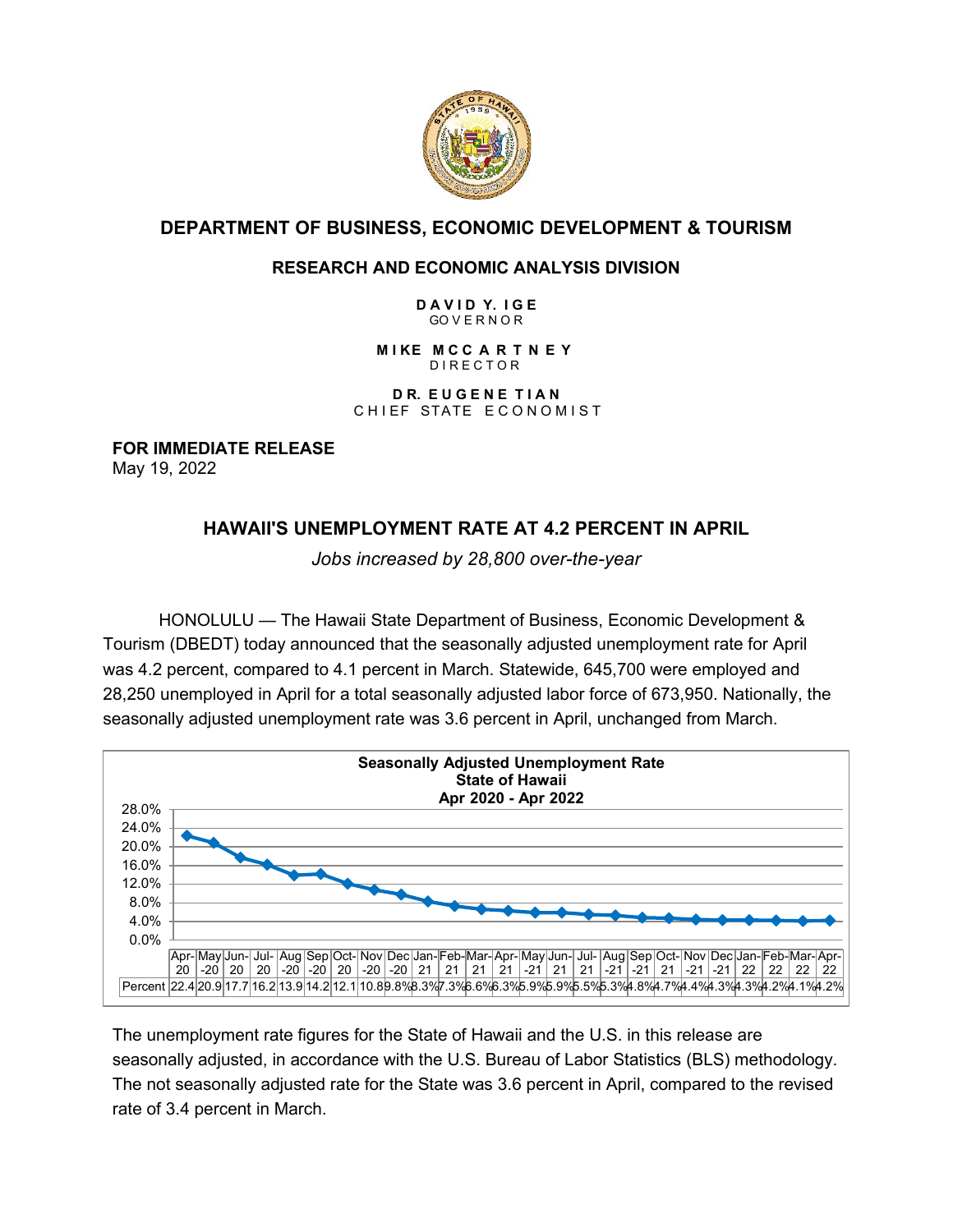

# **DEPARTMENT OF BUSINESS, ECONOMIC DEVELOPMENT & TOURISM**

### **RESEARCH AND ECONOMIC ANALYSIS DIVISION**

**D A V I D Y. I G E** GO V E R N O R

**M I KE M C C A R T N E Y** D I R E C T O R

**D R. E U G E N E T I A N**  CHIEF STATE ECONOMIST

**FOR IMMEDIATE RELEASE** May 19, 2022

# **HAWAII'S UNEMPLOYMENT RATE AT 4.2 PERCENT IN APRIL**

*Jobs increased by 28,800 over-the-year*

HONOLULU — The Hawaii State Department of Business, Economic Development & Tourism (DBEDT) today announced that the seasonally adjusted unemployment rate for April was 4.2 percent, compared to 4.1 percent in March. Statewide, 645,700 were employed and 28,250 unemployed in April for a total seasonally adjusted labor force of 673,950. Nationally, the seasonally adjusted unemployment rate was 3.6 percent in April, unchanged from March.



The unemployment rate figures for the State of Hawaii and the U.S. in this release are seasonally adjusted, in accordance with the U.S. Bureau of Labor Statistics (BLS) methodology. The not seasonally adjusted rate for the State was 3.6 percent in April, compared to the revised rate of 3.4 percent in March.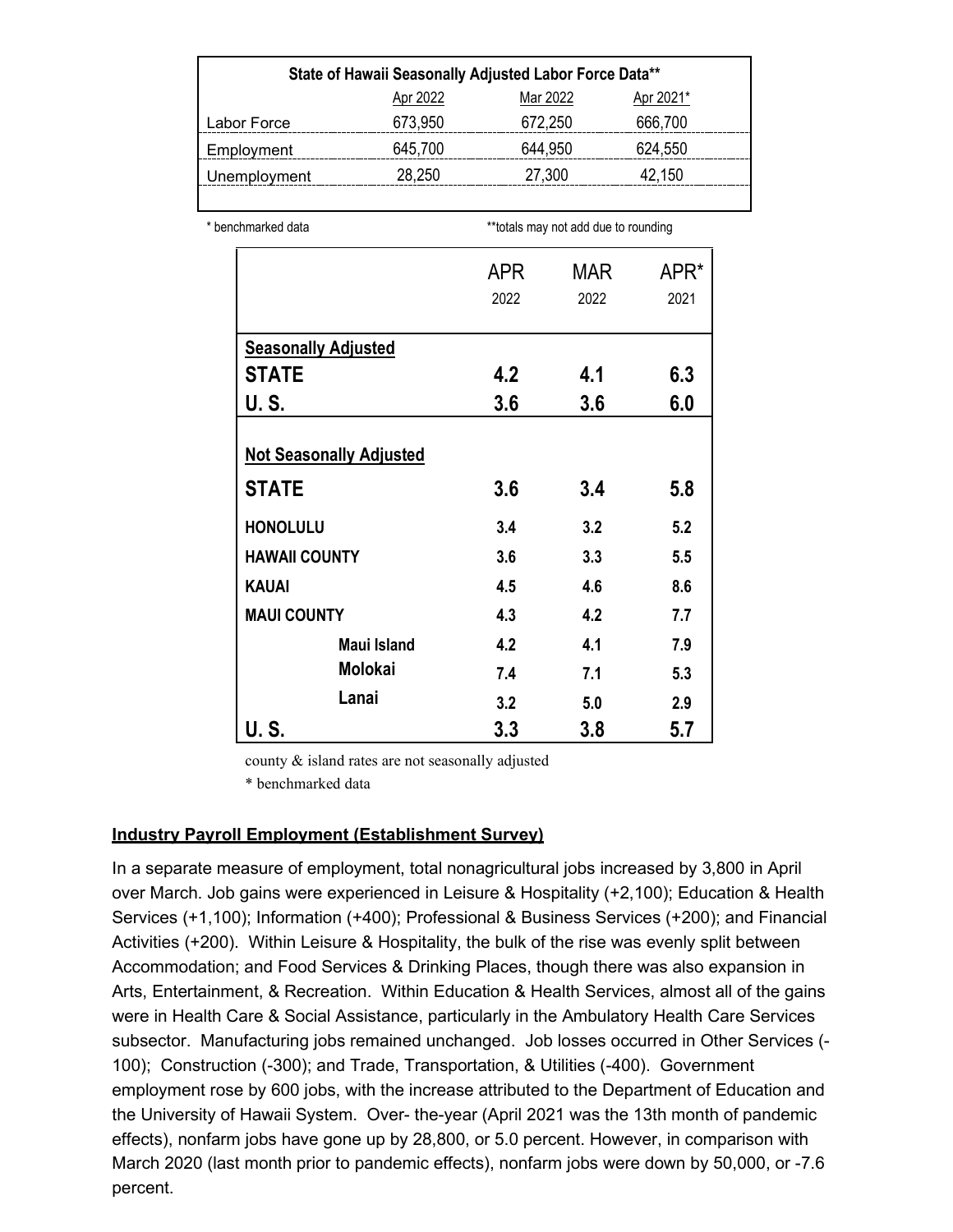| State of Hawaii Seasonally Adjusted Labor Force Data** |          |          |           |  |
|--------------------------------------------------------|----------|----------|-----------|--|
|                                                        | Apr 2022 | Mar 2022 | Apr 2021* |  |
| Labor Force                                            | 673,950  | 672,250  | 666,700   |  |
| Employment                                             | 645,700  | 644,950  | 624,550   |  |
| Unemployment                                           | 28,250   | 27,300   | 42,150    |  |
|                                                        |          |          |           |  |

\* benchmarked data **\*\*\*totals may not add due to rounding** 

|                                | <b>APR</b> | MAR  | APR* |
|--------------------------------|------------|------|------|
|                                | 2022       | 2022 | 2021 |
| <b>Seasonally Adjusted</b>     |            |      |      |
| <b>STATE</b>                   | 4.2        | 4.1  | 6.3  |
| U. S.                          | 3.6        | 3.6  | 6.0  |
| <b>Not Seasonally Adjusted</b> |            |      |      |
| <b>STATE</b>                   | 3.6        | 3.4  | 5.8  |
| <b>HONOLULU</b>                | 3.4        | 3.2  | 5.2  |
| <b>HAWAII COUNTY</b>           | 3.6        | 3.3  | 5.5  |
| <b>KAUAI</b>                   | 4.5        | 4.6  | 8.6  |
| <b>MAUI COUNTY</b>             | 4.3        | 4.2  | 7.7  |
| <b>Maui Island</b>             | 4.2        | 4.1  | 7.9  |
| <b>Molokai</b>                 | 7.4        | 7.1  | 5.3  |
| Lanai                          | 3.2        | 5.0  | 2.9  |
| U. S.                          | 3.3        | 3.8  | 5.7  |

county & island rates are not seasonally adjusted

\* benchmarked data

#### **Industry Payroll Employment (Establishment Survey)**

In a separate measure of employment, total nonagricultural jobs increased by 3,800 in April over March. Job gains were experienced in Leisure & Hospitality (+2,100); Education & Health Services (+1,100); Information (+400); Professional & Business Services (+200); and Financial Activities (+200). Within Leisure & Hospitality, the bulk of the rise was evenly split between Accommodation; and Food Services & Drinking Places, though there was also expansion in Arts, Entertainment, & Recreation. Within Education & Health Services, almost all of the gains were in Health Care & Social Assistance, particularly in the Ambulatory Health Care Services subsector. Manufacturing jobs remained unchanged. Job losses occurred in Other Services (- 100); Construction (-300); and Trade, Transportation, & Utilities (-400). Government employment rose by 600 jobs, with the increase attributed to the Department of Education and the University of Hawaii System. Over- the-year (April 2021 was the 13th month of pandemic effects), nonfarm jobs have gone up by 28,800, or 5.0 percent. However, in comparison with March 2020 (last month prior to pandemic effects), nonfarm jobs were down by 50,000, or -7.6 percent.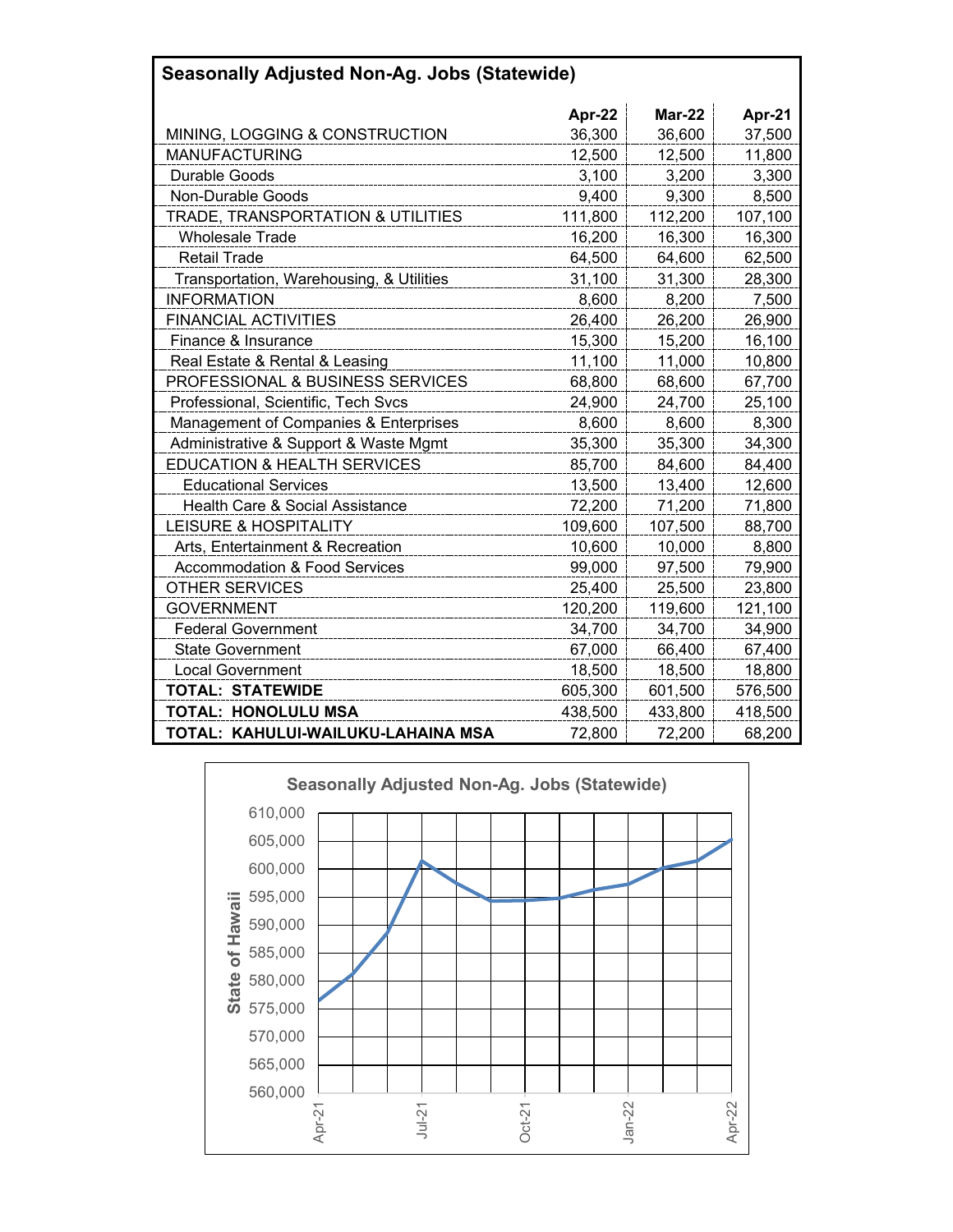| <b>Seasonally Adjusted Non-Ag. Jobs (Statewide)</b> |         |         |         |  |  |
|-----------------------------------------------------|---------|---------|---------|--|--|
|                                                     | Apr-22  | Mar-22  | Apr-21  |  |  |
| MINING, LOGGING & CONSTRUCTION                      | 36,300  | 36,600  | 37,500  |  |  |
| <b>MANUFACTURING</b>                                | 12,500  | 12,500  | 11,800  |  |  |
| Durable Goods                                       | 3,100   | 3,200   | 3,300   |  |  |
| Non-Durable Goods                                   | 9,400   | 9,300   | 8,500   |  |  |
| TRADE, TRANSPORTATION & UTILITIES                   | 111,800 | 112,200 | 107,100 |  |  |
| <b>Wholesale Trade</b>                              | 16,200  | 16,300  | 16,300  |  |  |
| <b>Retail Trade</b>                                 | 64,500  | 64,600  | 62,500  |  |  |
| Transportation, Warehousing, & Utilities            | 31,100  | 31,300  | 28,300  |  |  |
| <b>INFORMATION</b>                                  | 8,600   | 8,200   | 7,500   |  |  |
| <b>FINANCIAL ACTIVITIES</b>                         | 26,400  | 26,200  | 26,900  |  |  |
| Finance & Insurance                                 | 15,300  | 15,200  | 16,100  |  |  |
| Real Estate & Rental & Leasing                      | 11,100  | 11,000  | 10,800  |  |  |
| <b>PROFESSIONAL &amp; BUSINESS SERVICES</b>         | 68,800  | 68,600  | 67,700  |  |  |
| Professional, Scientific, Tech Svcs                 | 24,900  | 24,700  | 25,100  |  |  |
| Management of Companies & Enterprises               | 8,600   | 8,600   | 8,300   |  |  |
| Administrative & Support & Waste Mgmt               | 35,300  | 35,300  | 34,300  |  |  |
| <b>EDUCATION &amp; HEALTH SERVICES</b>              | 85,700  | 84,600  | 84,400  |  |  |
| <b>Educational Services</b>                         | 13,500  | 13,400  | 12,600  |  |  |
| Health Care & Social Assistance                     | 72,200  | 71,200  | 71,800  |  |  |
| LEISURE & HOSPITALITY                               | 109,600 | 107,500 | 88,700  |  |  |
| Arts, Entertainment & Recreation                    | 10,600  | 10,000  | 8,800   |  |  |
| <b>Accommodation &amp; Food Services</b>            | 99,000  | 97,500  | 79,900  |  |  |
| <b>OTHER SERVICES</b>                               | 25,400  | 25,500  | 23,800  |  |  |
| <b>GOVERNMENT</b>                                   | 120,200 | 119,600 | 121,100 |  |  |
| <b>Federal Government</b>                           | 34,700  | 34,700  | 34,900  |  |  |
| <b>State Government</b>                             | 67,000  | 66,400  | 67,400  |  |  |
| <b>Local Government</b>                             | 18,500  | 18,500  | 18,800  |  |  |
| <b>TOTAL: STATEWIDE</b>                             | 605,300 | 601,500 | 576,500 |  |  |
| <b>TOTAL: HONOLULU MSA</b>                          | 438,500 | 433,800 | 418,500 |  |  |
| TOTAL: KAHULUI-WAILUKU-LAHAINA MSA                  | 72,800  | 72,200  | 68,200  |  |  |

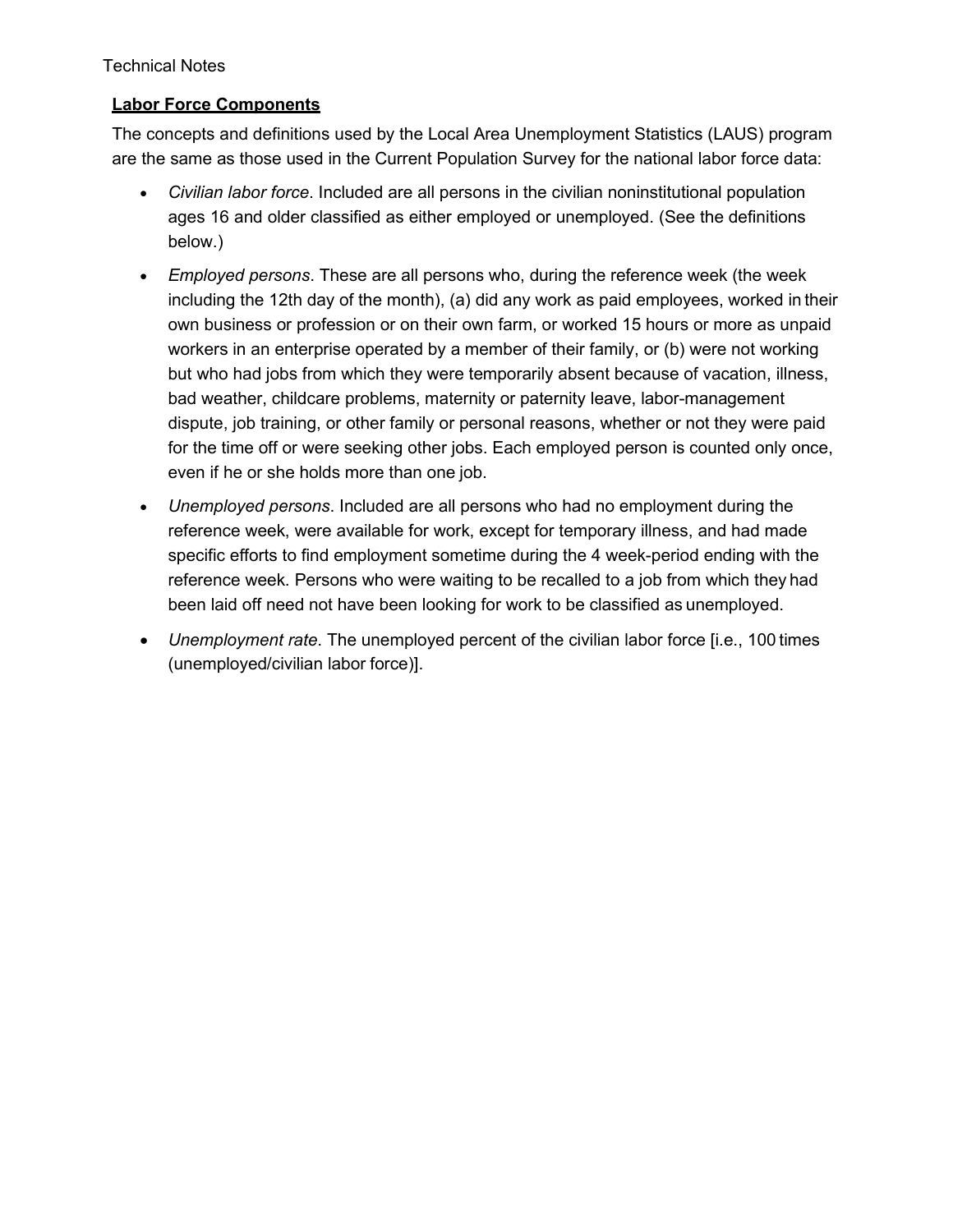#### Technical Notes

### **Labor Force Components**

The concepts and definitions used by the Local Area Unemployment Statistics (LAUS) program are the same as those used in the Current Population Survey for the national labor force data:

- *Civilian labor force*. Included are all persons in the civilian noninstitutional population ages 16 and older classified as either employed or unemployed. (See the definitions below.)
- *Employed persons*. These are all persons who, during the reference week (the week including the 12th day of the month), (a) did any work as paid employees, worked in their own business or profession or on their own farm, or worked 15 hours or more as unpaid workers in an enterprise operated by a member of their family, or (b) were not working but who had jobs from which they were temporarily absent because of vacation, illness, bad weather, childcare problems, maternity or paternity leave, labor-management dispute, job training, or other family or personal reasons, whether or not they were paid for the time off or were seeking other jobs. Each employed person is counted only once, even if he or she holds more than one job.
- *Unemployed persons*. Included are all persons who had no employment during the reference week, were available for work, except for temporary illness, and had made specific efforts to find employment sometime during the 4 week-period ending with the reference week. Persons who were waiting to be recalled to a job from which they had been laid off need not have been looking for work to be classified as unemployed.
- *Unemployment rate*. The unemployed percent of the civilian labor force [i.e., 100 times (unemployed/civilian labor force)].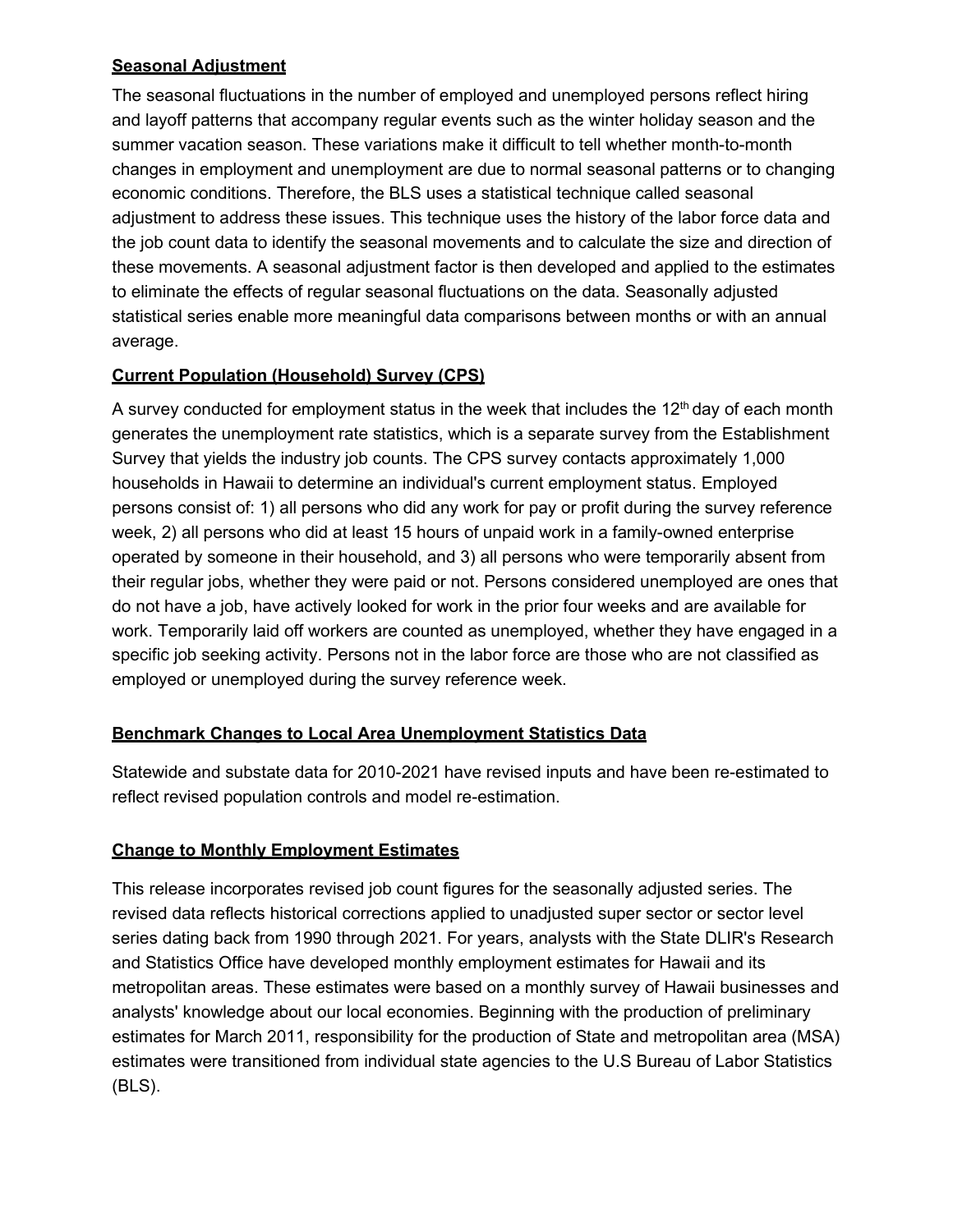## **Seasonal Adjustment**

The seasonal fluctuations in the number of employed and unemployed persons reflect hiring and layoff patterns that accompany regular events such as the winter holiday season and the summer vacation season. These variations make it difficult to tell whether month-to-month changes in employment and unemployment are due to normal seasonal patterns or to changing economic conditions. Therefore, the BLS uses a statistical technique called seasonal adjustment to address these issues. This technique uses the history of the labor force data and the job count data to identify the seasonal movements and to calculate the size and direction of these movements. A seasonal adjustment factor is then developed and applied to the estimates to eliminate the effects of regular seasonal fluctuations on the data. Seasonally adjusted statistical series enable more meaningful data comparisons between months or with an annual average.

## **Current Population (Household) Survey (CPS)**

A survey conducted for employment status in the week that includes the  $12<sup>th</sup>$  day of each month generates the unemployment rate statistics, which is a separate survey from the Establishment Survey that yields the industry job counts. The CPS survey contacts approximately 1,000 households in Hawaii to determine an individual's current employment status. Employed persons consist of: 1) all persons who did any work for pay or profit during the survey reference week, 2) all persons who did at least 15 hours of unpaid work in a family-owned enterprise operated by someone in their household, and 3) all persons who were temporarily absent from their regular jobs, whether they were paid or not. Persons considered unemployed are ones that do not have a job, have actively looked for work in the prior four weeks and are available for work. Temporarily laid off workers are counted as unemployed, whether they have engaged in a specific job seeking activity. Persons not in the labor force are those who are not classified as employed or unemployed during the survey reference week.

## **Benchmark Changes to Local Area Unemployment Statistics Data**

Statewide and substate data for 2010-2021 have revised inputs and have been re-estimated to reflect revised population controls and model re-estimation.

# **Change to Monthly Employment Estimates**

This release incorporates revised job count figures for the seasonally adjusted series. The revised data reflects historical corrections applied to unadjusted super sector or sector level series dating back from 1990 through 2021. For years, analysts with the State DLIR's Research and Statistics Office have developed monthly employment estimates for Hawaii and its metropolitan areas. These estimates were based on a monthly survey of Hawaii businesses and analysts' knowledge about our local economies. Beginning with the production of preliminary estimates for March 2011, responsibility for the production of State and metropolitan area (MSA) estimates were transitioned from individual state agencies to the U.S Bureau of Labor Statistics (BLS).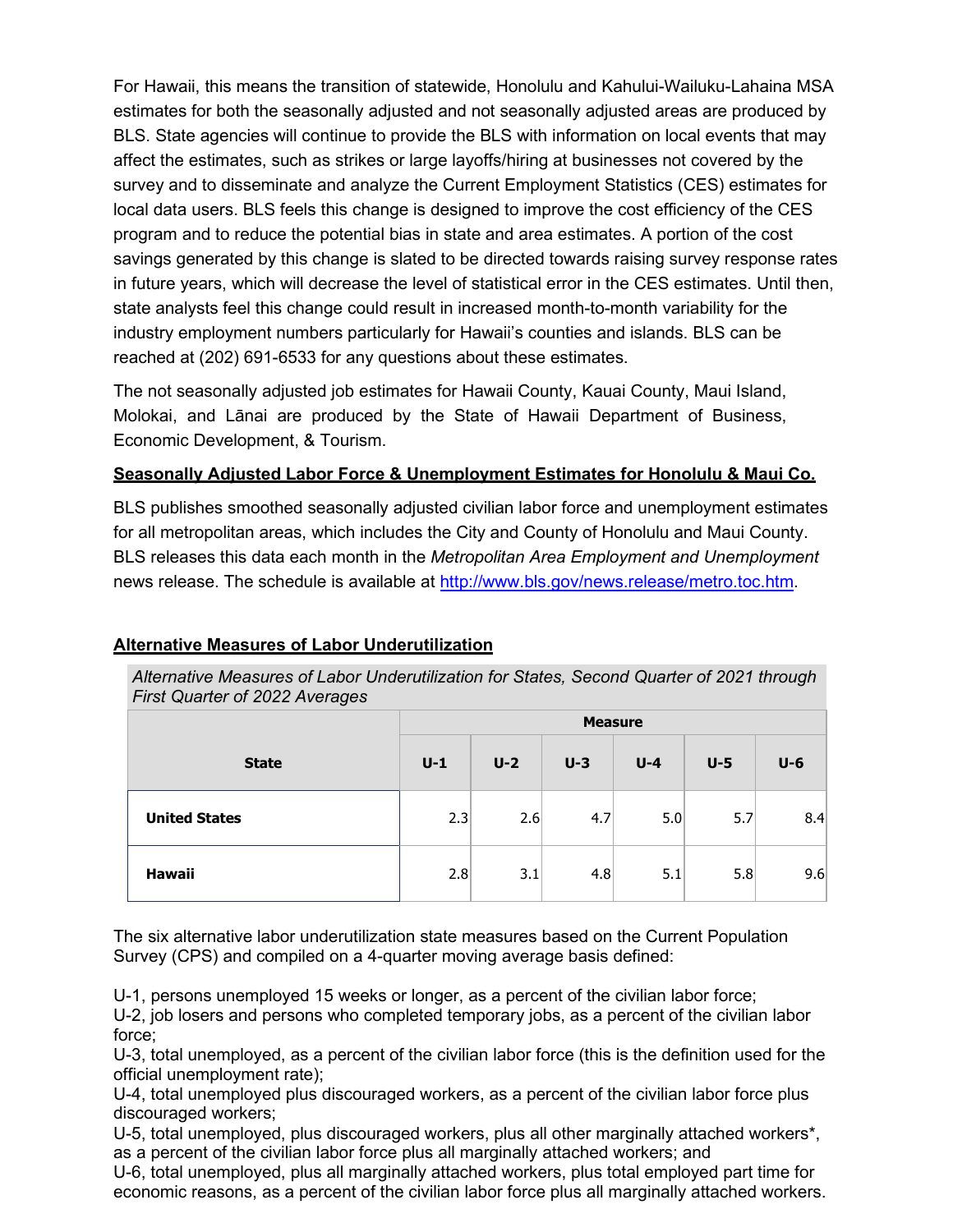For Hawaii, this means the transition of statewide, Honolulu and Kahului-Wailuku-Lahaina MSA estimates for both the seasonally adjusted and not seasonally adjusted areas are produced by BLS. State agencies will continue to provide the BLS with information on local events that may affect the estimates, such as strikes or large layoffs/hiring at businesses not covered by the survey and to disseminate and analyze the Current Employment Statistics (CES) estimates for local data users. BLS feels this change is designed to improve the cost efficiency of the CES program and to reduce the potential bias in state and area estimates. A portion of the cost savings generated by this change is slated to be directed towards raising survey response rates in future years, which will decrease the level of statistical error in the CES estimates. Until then, state analysts feel this change could result in increased month-to-month variability for the industry employment numbers particularly for Hawaii's counties and islands. BLS can be reached at (202) 691-6533 for any questions about these estimates.

The not seasonally adjusted job estimates for Hawaii County, Kauai County, Maui Island, Molokai, and Lānai are produced by the State of Hawaii Department of Business, Economic Development, & Tourism.

## **Seasonally Adjusted Labor Force & Unemployment Estimates for Honolulu & Maui Co.**

BLS publishes smoothed seasonally adjusted civilian labor force and unemployment estimates for all metropolitan areas, which includes the City and County of Honolulu and Maui County. BLS releases this data each month in the *Metropolitan Area Employment and Unemployment* news release. The schedule is available at [http://www.bls.gov/news.release/metro.toc.htm.](http://www.bls.gov/news.release/metro.toc.htm)

| Alternative Measures of Labor Underutilization for States, Second Quarter of |  |
|------------------------------------------------------------------------------|--|
| <b>First Quarter of 2022 Averages</b>                                        |  |

**Alternative Measures of Labor Underutilization**

|                      | <b>Measure</b> |       |       |         |       |       |
|----------------------|----------------|-------|-------|---------|-------|-------|
| <b>State</b>         | $U-1$          | $U-2$ | $U-3$ | $U - 4$ | $U-5$ | $U-6$ |
| <b>United States</b> | 2.3            | 2.6   | 4.7   | 5.0     | 5.7   | 8.4   |
| <b>Hawaii</b>        | 2.8            | 3.1   | 4.8   | 5.1     | 5.8   | 9.6   |

*Alternative Measures of Labor Underutilization for States, Second Quarter of 2021 through* 

The six alternative labor underutilization state measures based on the Current Population Survey (CPS) and compiled on a 4-quarter moving average basis defined:

U-1, persons unemployed 15 weeks or longer, as a percent of the civilian labor force; U-2, job losers and persons who completed temporary jobs, as a percent of the civilian labor force;

U-3, total unemployed, as a percent of the civilian labor force (this is the definition used for the official unemployment rate);

U-4, total unemployed plus discouraged workers, as a percent of the civilian labor force plus discouraged workers;

U-5, total unemployed, plus discouraged workers, plus all other marginally attached workers\*, as a percent of the civilian labor force plus all marginally attached workers; and

U-6, total unemployed, plus all marginally attached workers, plus total employed part time for economic reasons, as a percent of the civilian labor force plus all marginally attached workers.